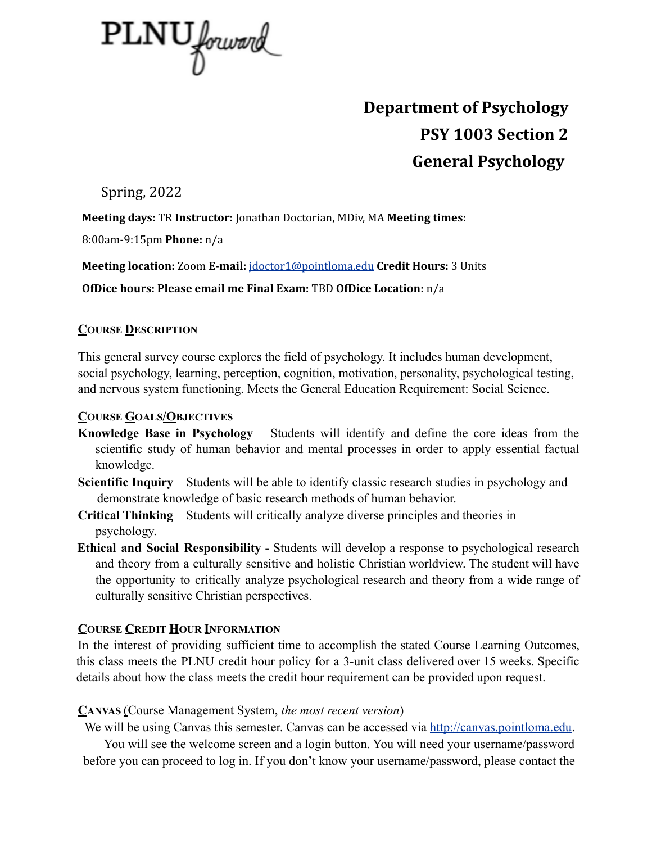

# **Department of Psychology PSY 1003 Section 2 General Psychology**

Spring, 2022

**Meeting days:** TR **Instructor:** Jonathan Doctorian, MDiv, MA **Meeting times:**

8:00am-9:15pm **Phone:** n/a

**Meeting location:** Zoom **E-mail:** jdoctor1@pointloma.edu **Credit Hours:** 3 Units

**OfDice hours: Please email me Final Exam:** TBD **OfDice Location:** n/a

## **COURSE DESCRIPTION**

This general survey course explores the field of psychology. It includes human development, social psychology, learning, perception, cognition, motivation, personality, psychological testing, and nervous system functioning. Meets the General Education Requirement: Social Science.

## **COURSE GOALS/OBJECTIVES**

- **Knowledge Base in Psychology** Students will identify and define the core ideas from the scientific study of human behavior and mental processes in order to apply essential factual knowledge.
- **Scientific Inquiry** Students will be able to identify classic research studies in psychology and demonstrate knowledge of basic research methods of human behavior.
- **Critical Thinking** Students will critically analyze diverse principles and theories in psychology.
- **Ethical and Social Responsibility -** Students will develop a response to psychological research and theory from a culturally sensitive and holistic Christian worldview. The student will have the opportunity to critically analyze psychological research and theory from a wide range of culturally sensitive Christian perspectives.

# **COURSE CREDIT HOUR INFORMATION**

In the interest of providing sufficient time to accomplish the stated Course Learning Outcomes, this class meets the PLNU credit hour policy for a 3-unit class delivered over 15 weeks. Specific details about how the class meets the credit hour requirement can be provided upon request.

## **CANVAS** (Course Management System, *the most recent version*)

We will be using Canvas this semester. Canvas can be accessed via http://canvas.pointloma.edu.

You will see the welcome screen and a login button. You will need your username/password before you can proceed to log in. If you don't know your username/password, please contact the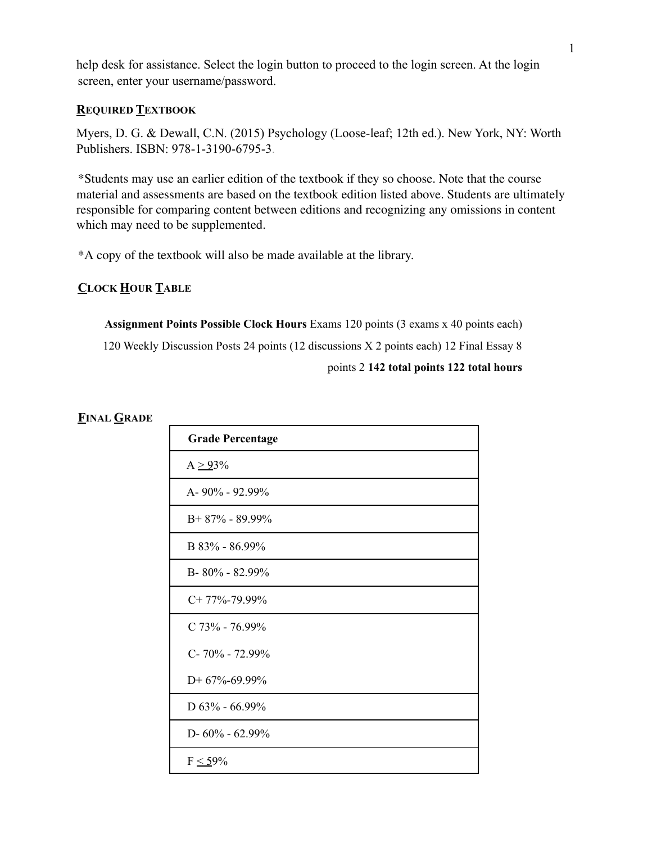help desk for assistance. Select the login button to proceed to the login screen. At the login screen, enter your username/password.

#### **REQUIRED TEXTBOOK**

Myers, D. G. & Dewall, C.N. (2015) Psychology (Loose-leaf; 12th ed.). New York, NY: Worth Publishers. ISBN: 978-1-3190-6795-3.

\*Students may use an earlier edition of the textbook if they so choose. Note that the course material and assessments are based on the textbook edition listed above. Students are ultimately responsible for comparing content between editions and recognizing any omissions in content which may need to be supplemented.

\*A copy of the textbook will also be made available at the library.

#### **CLOCK HOUR TABLE**

**Assignment Points Possible Clock Hours** Exams 120 points (3 exams x 40 points each) 120 Weekly Discussion Posts 24 points (12 discussions X 2 points each) 12 Final Essay 8 points 2 **142 total points 122 total hours**

#### **FINAL GRADE**

| <b>Grade Percentage</b> |
|-------------------------|
| $A \geq 93\%$           |
| A-90% - 92.99%          |
| $B+87% - 89.99%$        |
| B 83% - 86.99%          |
| B-80% - 82.99%          |
| $C+77\% -79.99\%$       |
| $C$ 73% - 76.99%        |
| C-70% - 72.99%          |
| $D+67% -69.99%$         |
| D $63\%$ - 66.99%       |
| D- $60\%$ - $62.99\%$   |
| $F \leq 59\%$           |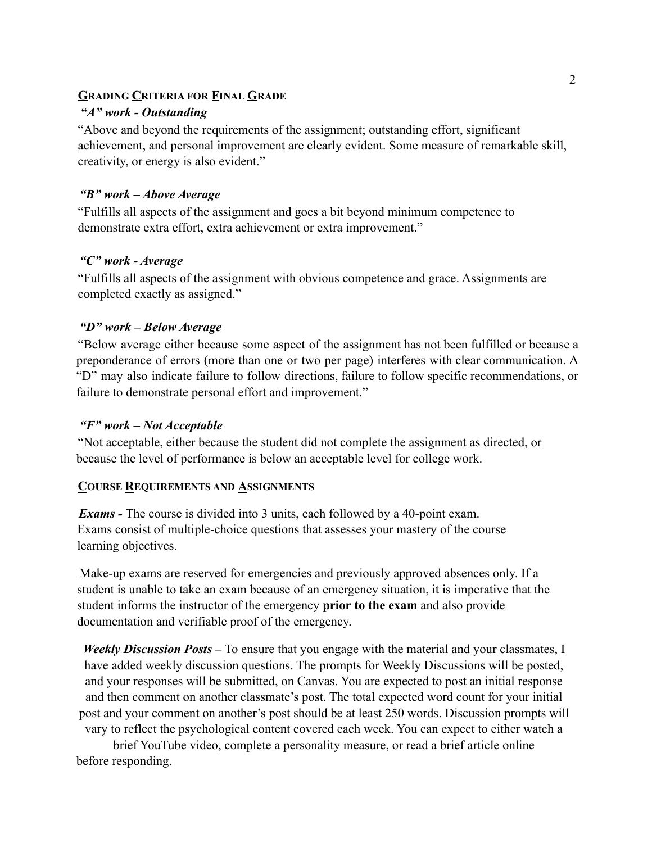#### **GRADING CRITERIA FOR FINAL GRADE**

#### *"A" work - Outstanding*

"Above and beyond the requirements of the assignment; outstanding effort, significant achievement, and personal improvement are clearly evident. Some measure of remarkable skill, creativity, or energy is also evident."

#### *"B" work – Above Average*

"Fulfills all aspects of the assignment and goes a bit beyond minimum competence to demonstrate extra effort, extra achievement or extra improvement."

#### *"C" work - Average*

"Fulfills all aspects of the assignment with obvious competence and grace. Assignments are completed exactly as assigned."

#### *"D" work – Below Average*

"Below average either because some aspect of the assignment has not been fulfilled or because a preponderance of errors (more than one or two per page) interferes with clear communication. A "D" may also indicate failure to follow directions, failure to follow specific recommendations, or failure to demonstrate personal effort and improvement."

#### *"F" work – Not Acceptable*

"Not acceptable, either because the student did not complete the assignment as directed, or because the level of performance is below an acceptable level for college work.

## **COURSE REQUIREMENTS AND ASSIGNMENTS**

*Exams -* The course is divided into 3 units, each followed by a 40-point exam. Exams consist of multiple-choice questions that assesses your mastery of the course learning objectives.

Make-up exams are reserved for emergencies and previously approved absences only. If a student is unable to take an exam because of an emergency situation, it is imperative that the student informs the instructor of the emergency **prior to the exam** and also provide documentation and verifiable proof of the emergency.

*Weekly Discussion Posts* – To ensure that you engage with the material and your classmates, I have added weekly discussion questions. The prompts for Weekly Discussions will be posted, and your responses will be submitted, on Canvas. You are expected to post an initial response and then comment on another classmate's post. The total expected word count for your initial post and your comment on another's post should be at least 250 words. Discussion prompts will vary to reflect the psychological content covered each week. You can expect to either watch a

brief YouTube video, complete a personality measure, or read a brief article online before responding.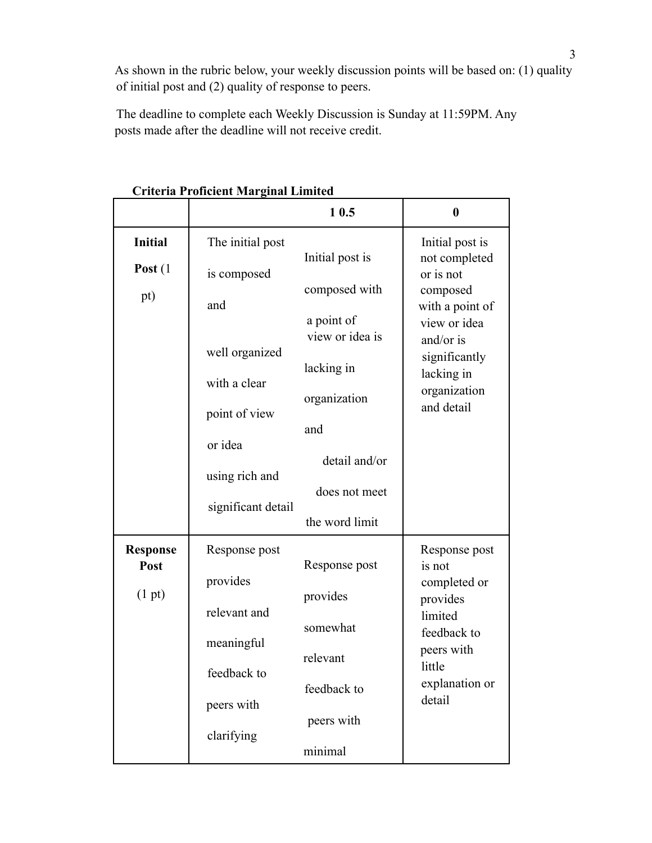As shown in the rubric below, your weekly discussion points will be based on: (1) quality of initial post and (2) quality of response to peers.

The deadline to complete each Weekly Discussion is Sunday at 11:59PM. Any posts made after the deadline will not receive credit.

|                                   |                                                                                                           | 10.5                                                                                                                                    | $\bf{0}$                                                                                                              |
|-----------------------------------|-----------------------------------------------------------------------------------------------------------|-----------------------------------------------------------------------------------------------------------------------------------------|-----------------------------------------------------------------------------------------------------------------------|
| <b>Initial</b>                    | The initial post                                                                                          | Initial post is                                                                                                                         | Initial post is<br>not completed                                                                                      |
| Post $(1)$                        | is composed                                                                                               |                                                                                                                                         | or is not                                                                                                             |
| pt)                               | and<br>well organized<br>with a clear<br>point of view<br>or idea<br>using rich and<br>significant detail | composed with<br>a point of<br>view or idea is<br>lacking in<br>organization<br>and<br>detail and/or<br>does not meet<br>the word limit | composed<br>with a point of<br>view or idea<br>and/or is<br>significantly<br>lacking in<br>organization<br>and detail |
|                                   |                                                                                                           |                                                                                                                                         |                                                                                                                       |
| <b>Response</b><br>Post<br>(1 pt) | Response post<br>provides                                                                                 | Response post<br>provides                                                                                                               | Response post<br>is not<br>completed or<br>provides                                                                   |
|                                   | relevant and<br>meaningful                                                                                | somewhat                                                                                                                                | limited<br>feedback to<br>peers with<br>little<br>explanation or<br>detail                                            |
|                                   | feedback to<br>peers with                                                                                 | relevant<br>feedback to                                                                                                                 |                                                                                                                       |
|                                   | clarifying                                                                                                | peers with<br>minimal                                                                                                                   |                                                                                                                       |
|                                   |                                                                                                           |                                                                                                                                         |                                                                                                                       |

**Criteria Proficient Marginal Limited**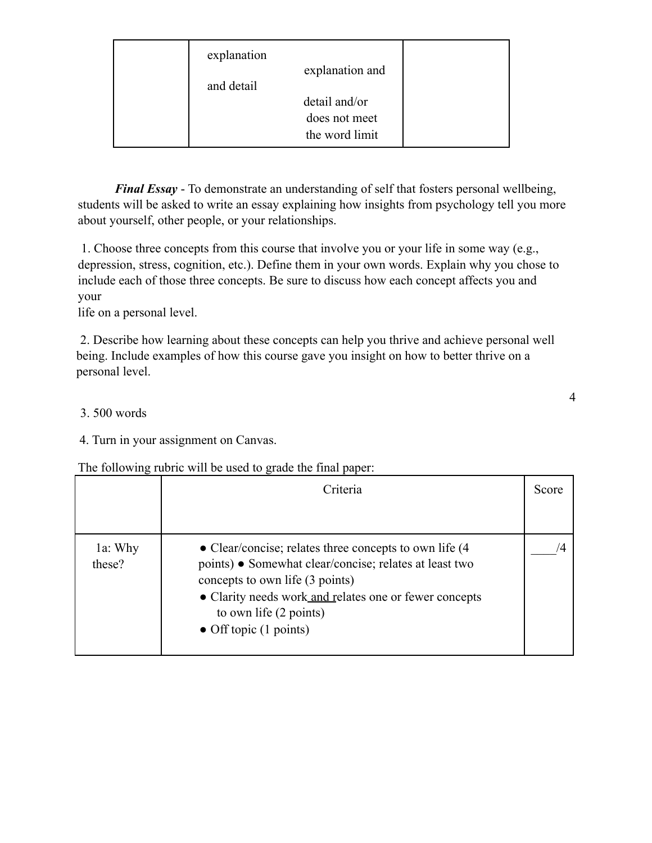| explanation<br>and detail | explanation and                                  |  |
|---------------------------|--------------------------------------------------|--|
|                           | detail and/or<br>does not meet<br>the word limit |  |

*Final Essay* - To demonstrate an understanding of self that fosters personal wellbeing, students will be asked to write an essay explaining how insights from psychology tell you more about yourself, other people, or your relationships.

1. Choose three concepts from this course that involve you or your life in some way (e.g., depression, stress, cognition, etc.). Define them in your own words. Explain why you chose to include each of those three concepts. Be sure to discuss how each concept affects you and your

life on a personal level.

2. Describe how learning about these concepts can help you thrive and achieve personal well being. Include examples of how this course gave you insight on how to better thrive on a personal level.

## 3. 500 words

4. Turn in your assignment on Canvas.

The following rubric will be used to grade the final paper:

|                   | Criteria                                                                                                                                                                                                                                                                       | Score |
|-------------------|--------------------------------------------------------------------------------------------------------------------------------------------------------------------------------------------------------------------------------------------------------------------------------|-------|
| 1a: Why<br>these? | • Clear/concise; relates three concepts to own life $(4)$<br>points) • Somewhat clear/concise; relates at least two<br>concepts to own life (3 points)<br>• Clarity needs work and relates one or fewer concepts<br>to own life (2 points)<br>• Off topic $(1 \text{ points})$ |       |

4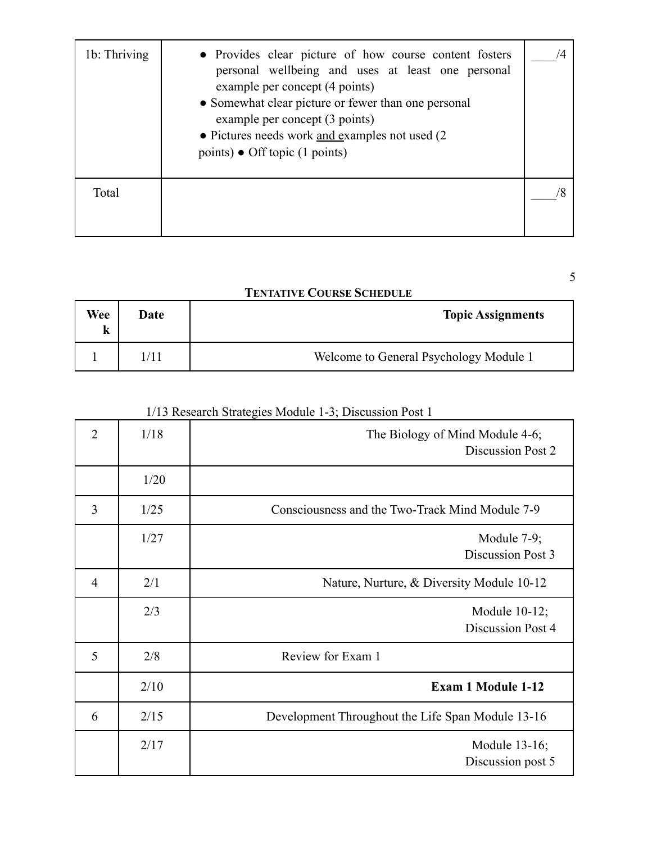| 1b: Thriving | • Provides clear picture of how course content fosters<br>personal wellbeing and uses at least one personal<br>example per concept (4 points)<br>• Somewhat clear picture or fewer than one personal<br>example per concept (3 points)<br>• Pictures needs work and examples not used (2)<br>points) • Off topic (1 points) |  |
|--------------|-----------------------------------------------------------------------------------------------------------------------------------------------------------------------------------------------------------------------------------------------------------------------------------------------------------------------------|--|
| Total        |                                                                                                                                                                                                                                                                                                                             |  |

5

## **TENTATIVE COURSE SCHEDULE**

| Wee<br>k | Date | <b>Topic Assignments</b>               |
|----------|------|----------------------------------------|
|          | /11  | Welcome to General Psychology Module 1 |

# 1/13 Research Strategies Module 1-3; Discussion Post 1

| $\overline{2}$ | 1/18 | The Biology of Mind Module 4-6;<br>Discussion Post 2 |
|----------------|------|------------------------------------------------------|
|                | 1/20 |                                                      |
| 3              | 1/25 | Consciousness and the Two-Track Mind Module 7-9      |
|                | 1/27 | Module $7-9$ ;<br>Discussion Post 3                  |
| $\overline{4}$ | 2/1  | Nature, Nurture, & Diversity Module 10-12            |
|                | 2/3  | Module $10-12$ ;<br><b>Discussion Post 4</b>         |
| 5              | 2/8  | Review for Exam 1                                    |
|                | 2/10 | <b>Exam 1 Module 1-12</b>                            |
| 6              | 2/15 | Development Throughout the Life Span Module 13-16    |
|                | 2/17 | Module 13-16;<br>Discussion post 5                   |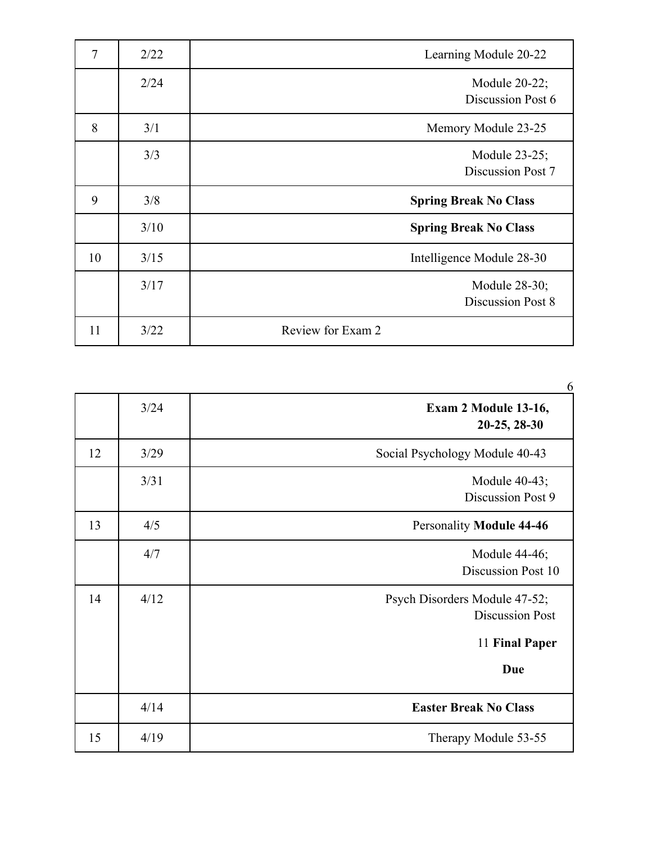| $\overline{7}$ | 2/22 | Learning Module 20-22              |
|----------------|------|------------------------------------|
|                | 2/24 | Module 20-22;<br>Discussion Post 6 |
| 8              | 3/1  | Memory Module 23-25                |
|                | 3/3  | Module 23-25;<br>Discussion Post 7 |
| 9              | 3/8  | <b>Spring Break No Class</b>       |
|                |      |                                    |
|                | 3/10 | <b>Spring Break No Class</b>       |
| 10             | 3/15 | Intelligence Module 28-30          |
|                | 3/17 | Module 28-30;<br>Discussion Post 8 |

|    |      | 6                                                       |
|----|------|---------------------------------------------------------|
|    | 3/24 | Exam 2 Module 13-16,<br>20-25, 28-30                    |
| 12 | 3/29 | Social Psychology Module 40-43                          |
|    | 3/31 | Module 40-43;<br>Discussion Post 9                      |
| 13 | 4/5  | <b>Personality Module 44-46</b>                         |
|    | 4/7  | Module 44-46;<br>Discussion Post 10                     |
| 14 | 4/12 | Psych Disorders Module 47-52;<br><b>Discussion Post</b> |
|    |      | 11 Final Paper                                          |
|    |      | Due                                                     |
|    | 4/14 | <b>Easter Break No Class</b>                            |
| 15 | 4/19 | Therapy Module 53-55                                    |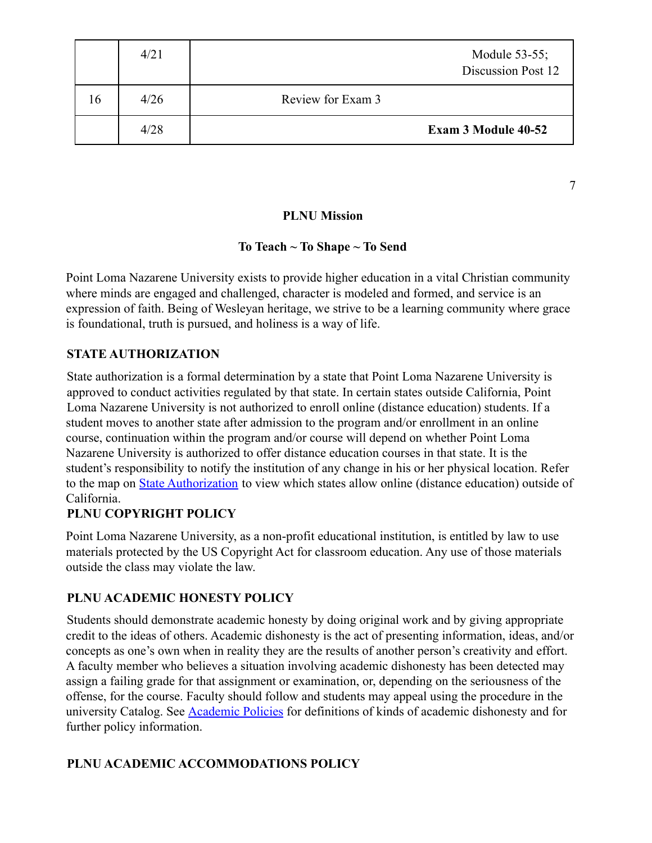|    | 4/21 |                   | Module 53-55;<br>Discussion Post 12 |
|----|------|-------------------|-------------------------------------|
| 16 | 4/26 | Review for Exam 3 |                                     |
|    | 4/28 |                   | <b>Exam 3 Module 40-52</b>          |

**PLNU Mission**

7

## **To Teach ~ To Shape ~ To Send**

Point Loma Nazarene University exists to provide higher education in a vital Christian community where minds are engaged and challenged, character is modeled and formed, and service is an expression of faith. Being of Wesleyan heritage, we strive to be a learning community where grace is foundational, truth is pursued, and holiness is a way of life.

## **STATE AUTHORIZATION**

State authorization is a formal determination by a state that Point Loma Nazarene University is approved to conduct activities regulated by that state. In certain states outside California, Point Loma Nazarene University is not authorized to enroll online (distance education) students. If a student moves to another state after admission to the program and/or enrollment in an online course, continuation within the program and/or course will depend on whether Point Loma Nazarene University is authorized to offer distance education courses in that state. It is the student's responsibility to notify the institution of any change in his or her physical location. Refer to the map on **State Authorization** to view which states allow online (distance education) outside of California.

## **PLNU COPYRIGHT POLICY**

Point Loma Nazarene University, as a non-profit educational institution, is entitled by law to use materials protected by the US Copyright Act for classroom education. Any use of those materials outside the class may violate the law.

## **PLNU ACADEMIC HONESTY POLICY**

Students should demonstrate academic honesty by doing original work and by giving appropriate credit to the ideas of others. Academic dishonesty is the act of presenting information, ideas, and/or concepts as one's own when in reality they are the results of another person's creativity and effort. A faculty member who believes a situation involving academic dishonesty has been detected may assign a failing grade for that assignment or examination, or, depending on the seriousness of the offense, for the course. Faculty should follow and students may appeal using the procedure in the university Catalog. See **Academic Policies** for definitions of kinds of academic dishonesty and for further policy information.

## **PLNU ACADEMIC ACCOMMODATIONS POLICY**